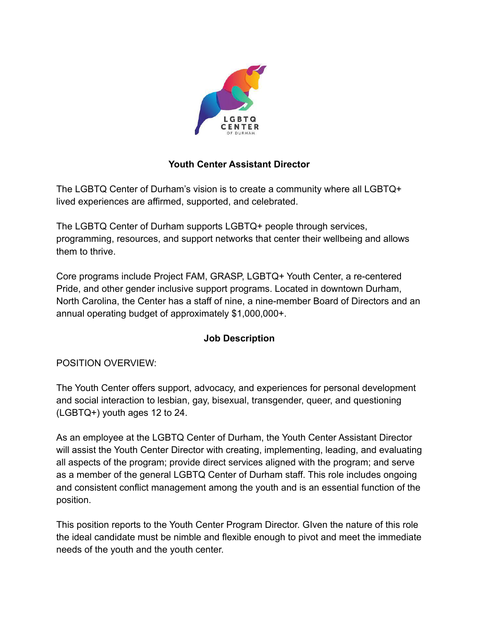

# **Youth Center Assistant Director**

The LGBTQ Center of Durham's vision is to create a community where all LGBTQ+ lived experiences are affirmed, supported, and celebrated.

The LGBTQ Center of Durham supports LGBTQ+ people through services, programming, resources, and support networks that center their wellbeing and allows them to thrive.

Core programs include Project FAM, GRASP, LGBTQ+ Youth Center, a re-centered Pride, and other gender inclusive support programs. Located in downtown Durham, North Carolina, the Center has a staff of nine, a nine-member Board of Directors and an annual operating budget of approximately \$1,000,000+.

# **Job Description**

# POSITION OVERVIEW:

The Youth Center offers support, advocacy, and experiences for personal development and social interaction to lesbian, gay, bisexual, transgender, queer, and questioning (LGBTQ+) youth ages 12 to 24.

As an employee at the LGBTQ Center of Durham, the Youth Center Assistant Director will assist the Youth Center Director with creating, implementing, leading, and evaluating all aspects of the program; provide direct services aligned with the program; and serve as a member of the general LGBTQ Center of Durham staff. This role includes ongoing and consistent conflict management among the youth and is an essential function of the position.

This position reports to the Youth Center Program Director. GIven the nature of this role the ideal candidate must be nimble and flexible enough to pivot and meet the immediate needs of the youth and the youth center.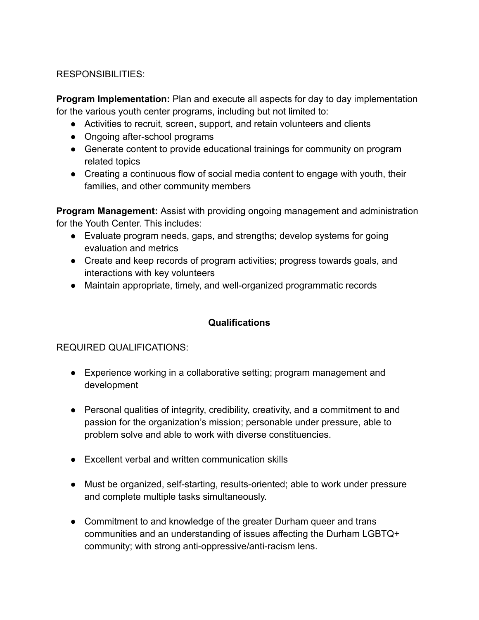## RESPONSIBILITIES:

**Program Implementation:** Plan and execute all aspects for day to day implementation for the various youth center programs, including but not limited to:

- Activities to recruit, screen, support, and retain volunteers and clients
- Ongoing after-school programs
- Generate content to provide educational trainings for community on program related topics
- Creating a continuous flow of social media content to engage with youth, their families, and other community members

**Program Management:** Assist with providing ongoing management and administration for the Youth Center. This includes:

- Evaluate program needs, gaps, and strengths; develop systems for going evaluation and metrics
- Create and keep records of program activities; progress towards goals, and interactions with key volunteers
- Maintain appropriate, timely, and well-organized programmatic records

# **Qualifications**

### REQUIRED QUALIFICATIONS:

- Experience working in a collaborative setting; program management and development
- Personal qualities of integrity, credibility, creativity, and a commitment to and passion for the organization's mission; personable under pressure, able to problem solve and able to work with diverse constituencies.
- Excellent verbal and written communication skills
- Must be organized, self-starting, results-oriented; able to work under pressure and complete multiple tasks simultaneously.
- Commitment to and knowledge of the greater Durham queer and trans communities and an understanding of issues affecting the Durham LGBTQ+ community; with strong anti-oppressive/anti-racism lens.